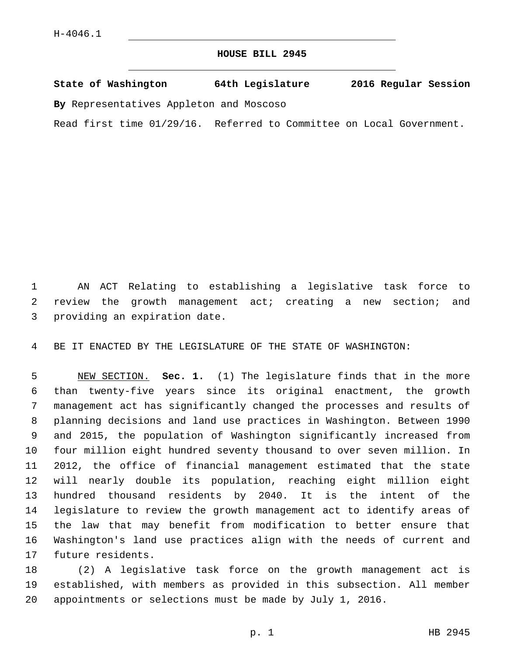## **HOUSE BILL 2945**

**State of Washington 64th Legislature 2016 Regular Session**

**By** Representatives Appleton and Moscoso

Read first time 01/29/16. Referred to Committee on Local Government.

 AN ACT Relating to establishing a legislative task force to review the growth management act; creating a new section; and 3 providing an expiration date.

BE IT ENACTED BY THE LEGISLATURE OF THE STATE OF WASHINGTON:

 NEW SECTION. **Sec. 1.** (1) The legislature finds that in the more than twenty-five years since its original enactment, the growth management act has significantly changed the processes and results of planning decisions and land use practices in Washington. Between 1990 and 2015, the population of Washington significantly increased from four million eight hundred seventy thousand to over seven million. In 2012, the office of financial management estimated that the state will nearly double its population, reaching eight million eight hundred thousand residents by 2040. It is the intent of the legislature to review the growth management act to identify areas of the law that may benefit from modification to better ensure that Washington's land use practices align with the needs of current and future residents.

 (2) A legislative task force on the growth management act is established, with members as provided in this subsection. All member appointments or selections must be made by July 1, 2016.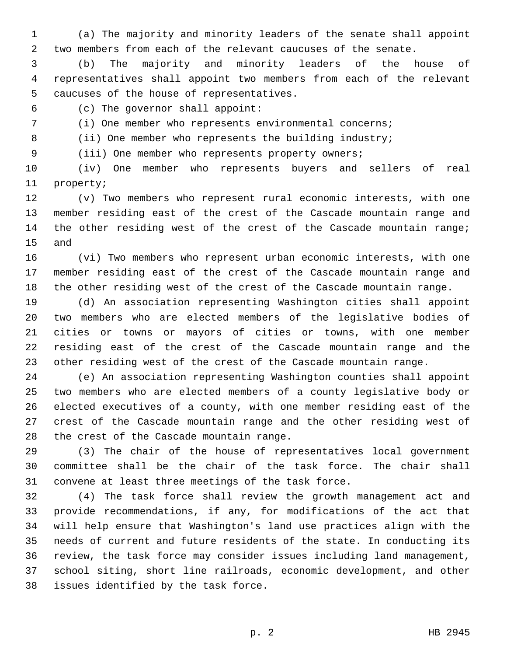(a) The majority and minority leaders of the senate shall appoint two members from each of the relevant caucuses of the senate.

 (b) The majority and minority leaders of the house of representatives shall appoint two members from each of the relevant 5 caucuses of the house of representatives.

(c) The governor shall appoint:6

(i) One member who represents environmental concerns;

8 (ii) One member who represents the building industry;

(iii) One member who represents property owners;

 (iv) One member who represents buyers and sellers of real 11 property;

 (v) Two members who represent rural economic interests, with one member residing east of the crest of the Cascade mountain range and 14 the other residing west of the crest of the Cascade mountain range; 15 and

 (vi) Two members who represent urban economic interests, with one member residing east of the crest of the Cascade mountain range and the other residing west of the crest of the Cascade mountain range.

 (d) An association representing Washington cities shall appoint two members who are elected members of the legislative bodies of cities or towns or mayors of cities or towns, with one member residing east of the crest of the Cascade mountain range and the other residing west of the crest of the Cascade mountain range.

 (e) An association representing Washington counties shall appoint two members who are elected members of a county legislative body or elected executives of a county, with one member residing east of the crest of the Cascade mountain range and the other residing west of 28 the crest of the Cascade mountain range.

 (3) The chair of the house of representatives local government committee shall be the chair of the task force. The chair shall convene at least three meetings of the task force.

 (4) The task force shall review the growth management act and provide recommendations, if any, for modifications of the act that will help ensure that Washington's land use practices align with the needs of current and future residents of the state. In conducting its review, the task force may consider issues including land management, school siting, short line railroads, economic development, and other 38 issues identified by the task force.